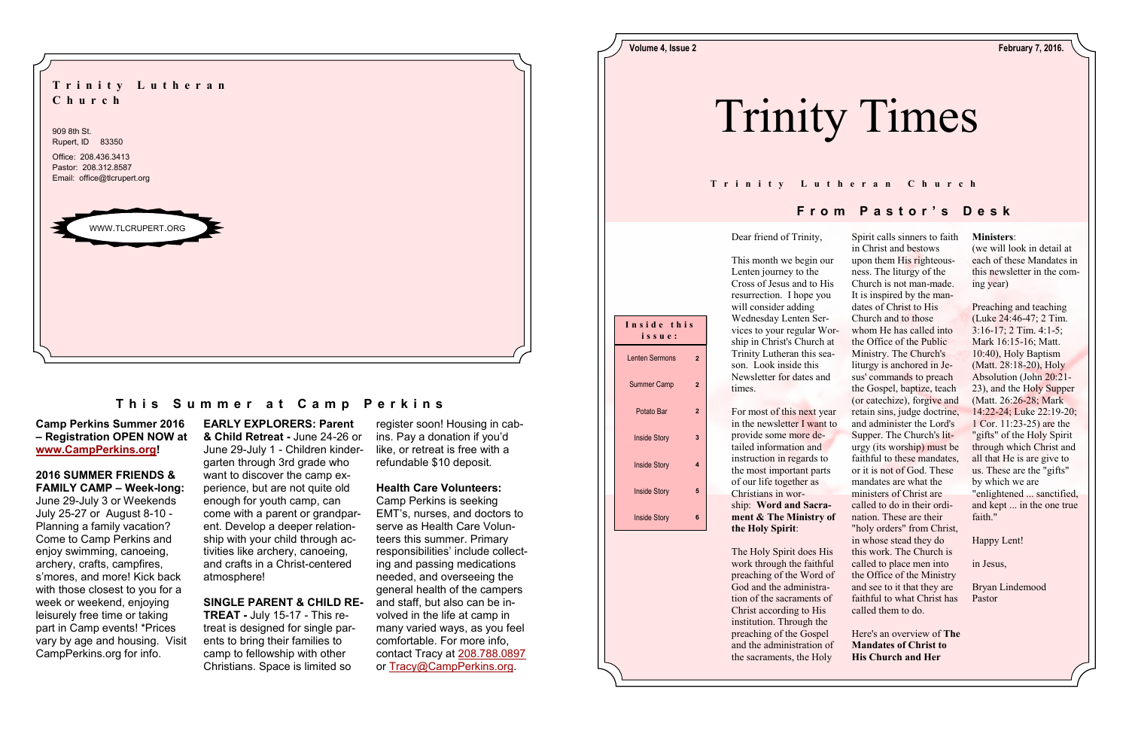**EARLY EXPLORERS: Parent & Child Retreat -** June 24-26 or June 29-July 1 - Children kindergarten through 3rd grade who want to discover the camp experience, but are not quite old enough for youth camp, can come with a parent or grandparent. Develop a deeper relationship with your child through activities like archery, canoeing, and crafts in a Christ-centered atmosphere!

## **SINGLE PARENT & CHILD RE-**

**TREAT -** July 15-17 - This retreat is designed for single parents to bring their families to camp to fellowship with other Christians. Space is limited so

## **Camp Perkins Summer 2016 – Registration OPEN NOW at [www.CampPerkins.org!](http://www.CampPerkins.org)**

## **2016 SUMMER FRIENDS & FAMILY CAMP – Week-long:**

June 29-July 3 or Weekends July 25-27 or August 8-10 - Planning a family vacation? Come to Camp Perkins and enjoy swimming, canoeing, archery, crafts, campfires, s'mores, and more! Kick back with those closest to you for a week or weekend, enjoying leisurely free time or taking part in Camp events! \*Prices vary by age and housing. Visit CampPerkins.org for info.

register soon! Housing in cabins. Pay a donation if you'd like, or retreat is free with a refundable \$10 deposit.

## **Health Care Volunteers:**

Camp Perkins is seeking EMT's, nurses, and doctors to serve as Health Care Volunteers this summer. Primary responsibilities' include collecting and passing medications needed, and overseeing the general health of the campers and staff, but also can be involved in the life at camp in many varied ways, as you feel comfortable. For more info, contact Tracy at [208.788.0897](tel:208.788.0897) or [Tracy@CampPerkins.org.](mailto:Tracy@CampPerkins.org)



## **This Summer at Camp Perkins**

### **Ministers**:

(we will look in detail at each of these Mandates in this newsletter in the coming year)

Preaching and teaching (Luke 24:46-47; 2 Tim. 3:16-17; 2 Tim. 4:1-5; Mark 16:15-16; Matt. 10:40), Holy Baptism (Matt. 28:18-20), Holy Absolution (John 20:21- 23), and the Holy Supper (Matt. 26:26-28; Mark 14:22-24; Luke 22:19-20; 1 Cor. 11:23-25) are the "gifts" of the Holy Spirit through which Christ and all that He is are give to us. These are the "gifts" by which we are "enlightened ... sanctified, and kept ... in the one true faith."

Happy Lent!

in Jesus,

Bryan Lindemood Pastor

Dear friend of Trinity,

This month we begin our Lenten journey to the Cross of Jesus and to His resurrection. I hope you will consider adding Wednesday Lenten Services to your regular Worship in Christ's Church at Trinity Lutheran this season. Look inside this Newsletter for dates and times.

For most of this next year in the newsletter I want to provide some more detailed information and instruction in regards to the most important parts of our life together as Christians in worship: **Word and Sacrament & The Ministry of the Holy Spirit**:

The Holy Spirit does His work through the faithful preaching of the Word of God and the administration of the sacraments of Christ according to His institution. Through the preaching of the Gospel and the administration of the sacraments, the Holy

Spirit calls sinners to faith in Christ and bestows upon them His righteousness. The liturgy of the Church is not man-made. It is inspired by the mandates of Christ to His Church and to those whom He has called into the Office of the Public Ministry. The Church's liturgy is anchored in Jesus' commands to preach the Gospel, baptize, teach (or catechize), forgive and retain sins, judge doctrine, and administer the Lord's Supper. The Church's liturgy (its worship) must be faithful to these mandates, or it is not of God. These mandates are what the ministers of Christ are called to do in their ordination. These are their "holy orders" from Christ, in whose stead they do this work. The Church is called to place men into the Office of the Ministry and see to it that they are faithful to what Christ has called them to do.

Here's an overview of **The Mandates of Christ to His Church and Her** 

# **F r o m P a s t o r ' s D e s k**



## **T r i n i t y L u t h e r a n C h u r c h**



**Volume 4, Issue 2 February 7, 2016.**